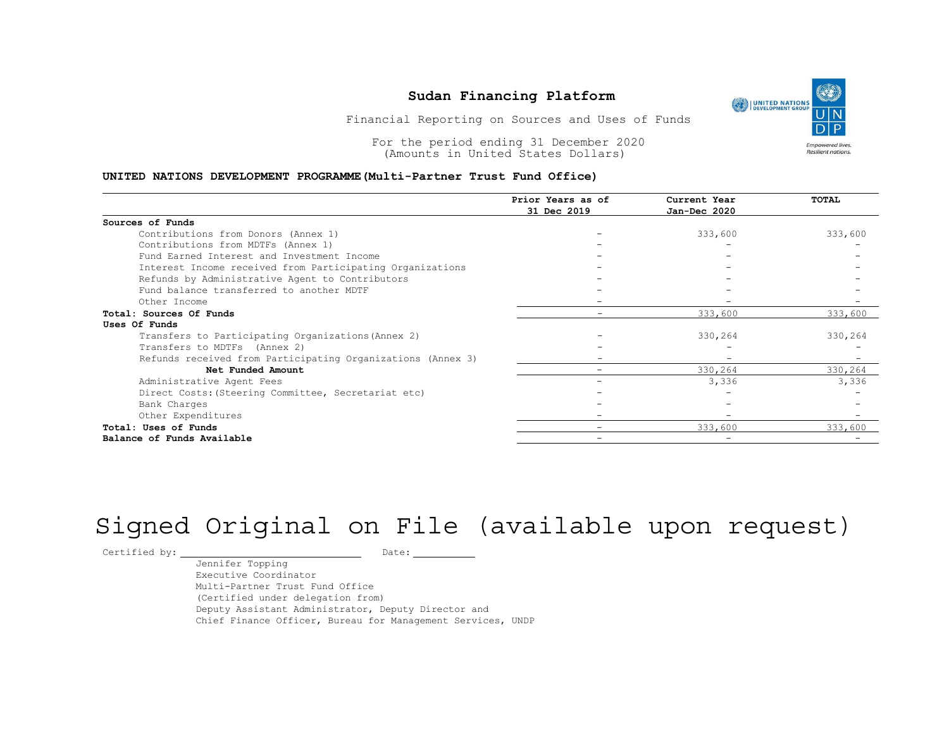### Sudan Financing Platform<br>
Summer Construction (CO) | UNITED NATIONS

### UNITED NATIONS DEVELOPMENT PROGRAMME(Multi-Partner Trust Fund Office)

| <b>UNITED NATIONS</b><br>DEVELOPMENT GROUP<br>Financial Reporting on Sources and Uses of Funds<br>For the period ending 31 December 2020<br><b>Empowered lives.</b> |                                    |                              |                           |  |  |
|---------------------------------------------------------------------------------------------------------------------------------------------------------------------|------------------------------------|------------------------------|---------------------------|--|--|
| UNITED NATIONS DEVELOPMENT PROGRAMME (Multi-Partner Trust Fund Office)                                                                                              | (Amounts in United States Dollars) |                              | <b>Resilient nations.</b> |  |  |
|                                                                                                                                                                     | Prior Years as of<br>31 Dec 2019   | Current Year<br>Jan-Dec 2020 | TOTAL                     |  |  |
| Sources of Funds                                                                                                                                                    |                                    |                              |                           |  |  |
| Contributions from Donors (Annex 1)                                                                                                                                 |                                    | 333,600                      | 333,600                   |  |  |
| Contributions from MDTFs (Annex 1)                                                                                                                                  |                                    |                              |                           |  |  |
| Fund Earned Interest and Investment Income                                                                                                                          |                                    |                              |                           |  |  |
| Interest Income received from Participating Organizations                                                                                                           |                                    |                              |                           |  |  |
| Refunds by Administrative Agent to Contributors                                                                                                                     |                                    |                              |                           |  |  |
| Fund balance transferred to another MDTF                                                                                                                            |                                    |                              |                           |  |  |
| Other Income                                                                                                                                                        |                                    |                              |                           |  |  |
| Total: Sources Of Funds                                                                                                                                             |                                    | 333,600                      | 333,600                   |  |  |
| Uses Of Funds                                                                                                                                                       |                                    |                              |                           |  |  |
| Transfers to Participating Organizations (Annex 2)                                                                                                                  |                                    | 330,264                      | 330,264                   |  |  |
| Transfers to MDTFs (Annex 2)                                                                                                                                        |                                    | $\overline{\phantom{0}}$     |                           |  |  |
| Refunds received from Participating Organizations (Annex 3)                                                                                                         |                                    |                              | $\overline{\phantom{0}}$  |  |  |
| Net Funded Amount                                                                                                                                                   |                                    | 330,264                      | 330,264                   |  |  |
| Administrative Agent Fees                                                                                                                                           |                                    | 3,336                        | 3,336                     |  |  |
| Direct Costs: (Steering Committee, Secretariat etc)                                                                                                                 |                                    |                              |                           |  |  |
| Bank Charges                                                                                                                                                        |                                    |                              |                           |  |  |
| Other Expenditures                                                                                                                                                  |                                    |                              |                           |  |  |
|                                                                                                                                                                     | $\overline{\phantom{0}}$           | 333,600                      | 333,600                   |  |  |
| Total: Uses of Funds                                                                                                                                                |                                    |                              |                           |  |  |

# Signed Original on File (available upon request)

Certified by: Date:

Jennifer Topping Executive Coordinator Multi-Partner Trust Fund Office (Certified under delegation from) Deputy Assistant Administrator, Deputy Director and Chief Finance Officer, Bureau for Management Services, UNDP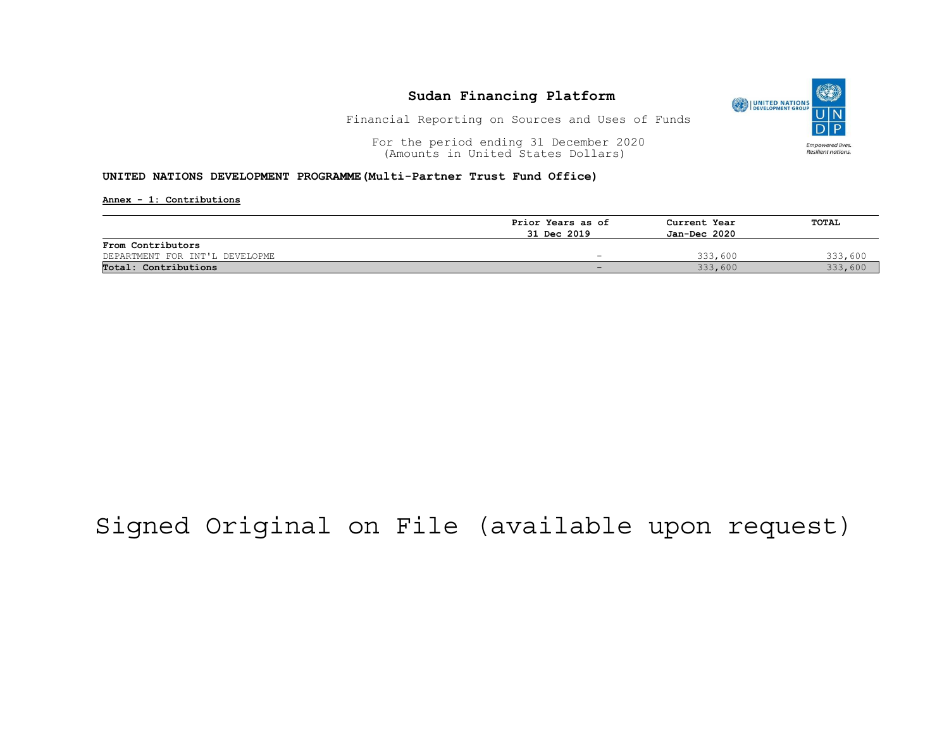

Financial Reporting on Sources and Uses of Funds

For the period ending 31 December 2020<br>
(Amounts in United States Dollars) (amounts in United States Dollars) (Amounts in United States Dollars)

#### UNITED NATIONS DEVELOPMENT PROGRAMME(Multi-Partner Trust Fund Office)

Annex - 1: Contributions

|                                |                   | Current Year<br>Jan-Dec 2020 | TOTAL   |
|--------------------------------|-------------------|------------------------------|---------|
|                                | Prior Years as of |                              |         |
|                                | 31 Dec 2019       |                              |         |
| From Contributors              |                   |                              |         |
| DEPARTMENT FOR INT'L DEVELOPME |                   | 333,600                      | 333,600 |
| Total: Contributions           |                   | 333,600                      | 333,600 |

## Signed Original on File (available upon request)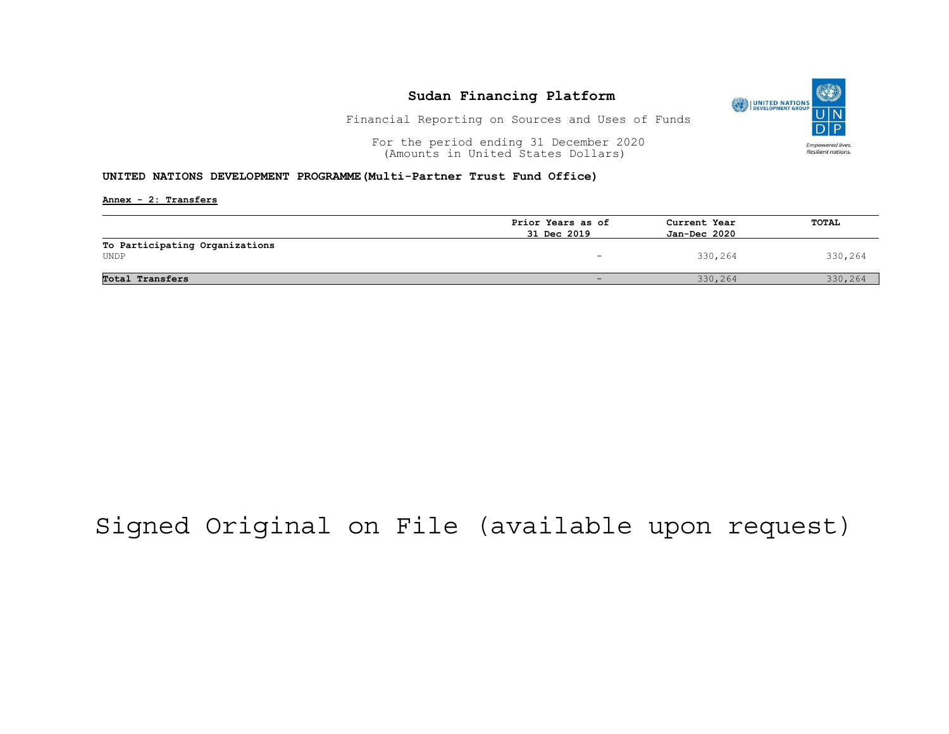

Financial Reporting on Sources and Uses of Funds

For the period ending 31 December 2020<br>
(Amounts in United States Dollars) (amounts in United States Dollars) (Amounts in United States Dollars)

### UNITED NATIONS DEVELOPMENT PROGRAMME(Multi-Partner Trust Fund Office)

Annex - 2: Transfers

|                                | Prior Years as of        | Current Year<br>Jan-Dec 2020 | TOTAL   |
|--------------------------------|--------------------------|------------------------------|---------|
|                                | 31 Dec 2019              |                              |         |
| To Participating Organizations |                          |                              |         |
| UNDP                           | $\overline{\phantom{a}}$ | 330,264                      | 330,264 |
|                                |                          |                              |         |
| Total Transfers                |                          | 330,264                      | 330,264 |

## Signed Original on File (available upon request)